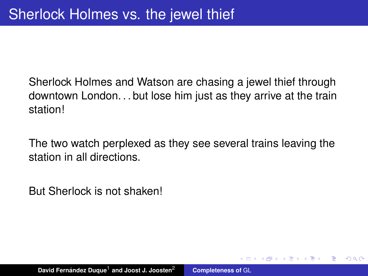Sherlock Holmes and Watson are chasing a jewel thief through downtown London. . . but lose him just as they arrive at the train station!

The two watch perplexed as they see several trains leaving the station in all directions.

<span id="page-0-0"></span> $QQQ$ 

But Sherlock is not shaken!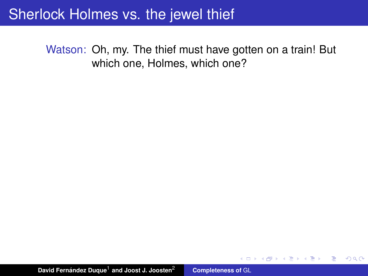Watson: Oh, my. The thief must have gotten on a train! But which one, Holmes, which one?

 $299$ 

重

**4 何 ト 4 戸 ト**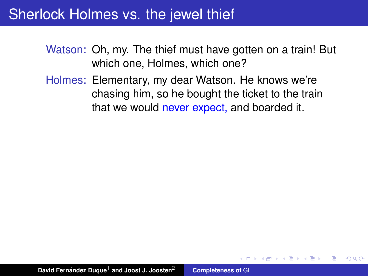- Watson: Oh, my. The thief must have gotten on a train! But which one, Holmes, which one?
- Holmes: Elementary, my dear Watson. He knows we're chasing him, so he bought the ticket to the train that we would never expect, and boarded it.

 $QQQ$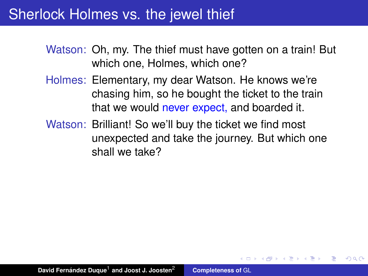Watson: Oh, my. The thief must have gotten on a train! But which one, Holmes, which one?

- Holmes: Elementary, my dear Watson. He knows we're chasing him, so he bought the ticket to the train that we would never expect, and boarded it.
- Watson: Brilliant! So we'll buy the ticket we find most unexpected and take the journey. But which one shall we take?

 $QQQ$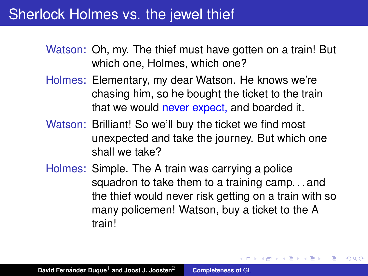Watson: Oh, my. The thief must have gotten on a train! But which one, Holmes, which one?

- Holmes: Elementary, my dear Watson. He knows we're chasing him, so he bought the ticket to the train that we would never expect, and boarded it.
- Watson: Brilliant! So we'll buy the ticket we find most unexpected and take the journey. But which one shall we take?
- Holmes: Simple. The A train was carrying a police squadron to take them to a training camp. . . and the thief would never risk getting on a train with so many policemen! Watson, buy a ticket to the A train!

す 御 ト す 重 ト す 重 ト

重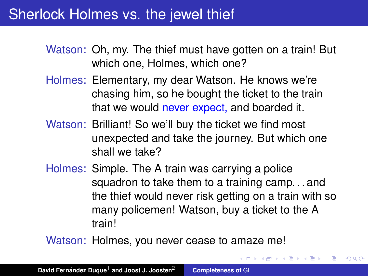Watson: Oh, my. The thief must have gotten on a train! But which one, Holmes, which one?

- Holmes: Elementary, my dear Watson. He knows we're chasing him, so he bought the ticket to the train that we would never expect, and boarded it.
- Watson: Brilliant! So we'll buy the ticket we find most unexpected and take the journey. But which one shall we take?
- Holmes: Simple. The A train was carrying a police squadron to take them to a training camp. . . and the thief would never risk getting on a train with so many policemen! Watson, buy a ticket to the A train!

(御) メミンメミン

重

 $299$ 

Watson: Holmes, you never cease to amaze me!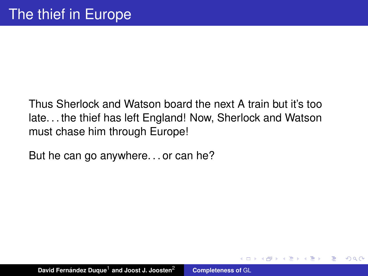Thus Sherlock and Watson board the next A train but it's too late. . . the thief has left England! Now, Sherlock and Watson must chase him through Europe!

 $\left\{ \bigoplus \bullet \to \bullet \right\}$ 

<span id="page-6-0"></span> $QQQ$ 

But he can go anywhere. . . or can he?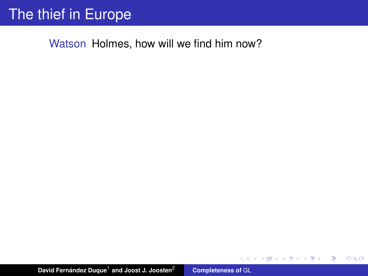# The thief in Europe

Watson Holmes, how will we find him now?

**David Fernández Duque<sup>1</sup> and Joost J. Joosten<sup>2</sup> [Completeness of](#page-0-0) GL** 

イロメ イ部メ イヨメ イヨメー

<span id="page-7-0"></span> $\equiv$  990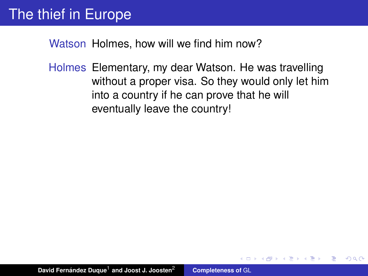Holmes Elementary, my dear Watson. He was travelling without a proper visa. So they would only let him into a country if he can prove that he will eventually leave the country!

4 何 ト 4 ヨ ト 4 ヨ ト

 $QQ$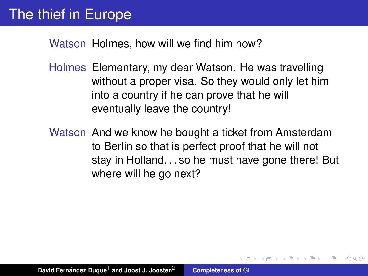- Holmes Elementary, my dear Watson. He was travelling without a proper visa. So they would only let him into a country if he can prove that he will eventually leave the country!
- Watson And we know he bought a ticket from Amsterdam to Berlin so that is perfect proof that he will not stay in Holland. . . so he must have gone there! But where will he go next?

K 御 と K 唐 と K 唐 と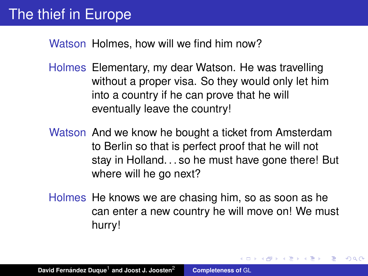- Holmes Elementary, my dear Watson. He was travelling without a proper visa. So they would only let him into a country if he can prove that he will eventually leave the country!
- Watson And we know he bought a ticket from Amsterdam to Berlin so that is perfect proof that he will not stay in Holland. . . so he must have gone there! But where will he go next?
- Holmes He knows we are chasing him, so as soon as he can enter a new country he will move on! We must hurry!

<span id="page-10-0"></span>す 御 ト す 重 ト す 重 ト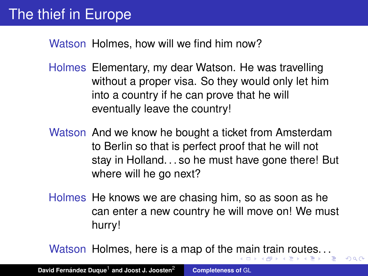- Holmes Elementary, my dear Watson. He was travelling without a proper visa. So they would only let him into a country if he can prove that he will eventually leave the country!
- Watson And we know he bought a ticket from Amsterdam to Berlin so that is perfect proof that he will not stay in Holland. . . so he must have gone there! But where will he go next?
- Holmes He knows we are chasing him, so as soon as he can enter a new country he will move on! We must hurry!

Watson Holmes, here is a map of the [ma](#page-10-0)[in](#page-12-0)[tr](#page-7-0)[a](#page-11-0)[i](#page-12-0)[n r](#page-0-0)[ou](#page-34-0)[te](#page-0-0)[s.](#page-34-0) [. .](#page-0-0)

<span id="page-11-0"></span> $QQ$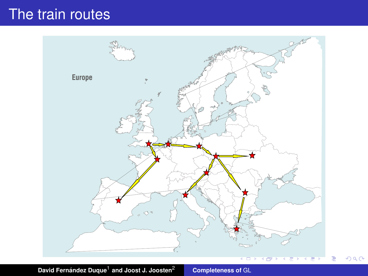## The train routes



**David Fernández Duque<sup>1</sup> and Joost J. Joosten<sup>2</sup> [Completeness of](#page-0-0) GL** 

<span id="page-12-0"></span> $2980$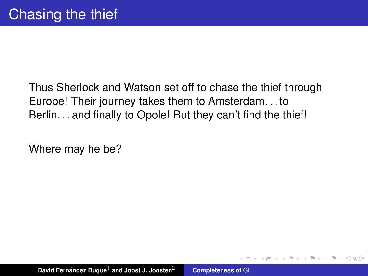Thus Sherlock and Watson set off to chase the thief through Europe! Their journey takes them to Amsterdam. . . to Berlin. . . and finally to Opole! But they can't find the thief!

 $QQQ$ 

Where may he be?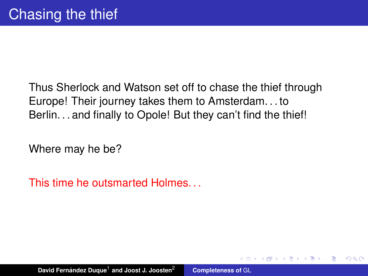Thus Sherlock and Watson set off to chase the thief through Europe! Their journey takes them to Amsterdam. . . to Berlin. . . and finally to Opole! But they can't find the thief!

 $QQQ$ 

Where may he be?

This time he outsmarted Holmes. . .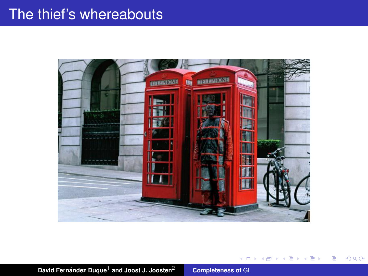## The thief's whereabouts



イロン イ母ン イヨン イヨン 一君

 $298$ 

**David Fernández Duque<sup>1</sup> and Joost J. Joosten<sup>2</sup> [Completeness of](#page-0-0) GL**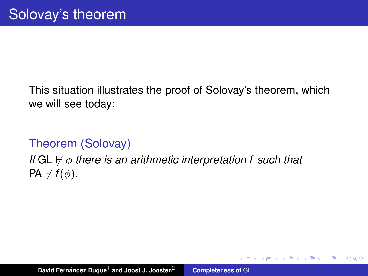This situation illustrates the proof of Solovay's theorem, which we will see today:

### Theorem (Solovay)

### *If*  $GL \nvdash \phi$  *there is an arithmetic interpretation f such that*  $PA \not\vdash f(\phi)$ .

 $\overline{AB}$   $\rightarrow$   $\overline{AB}$   $\rightarrow$   $\overline{AB}$ 

重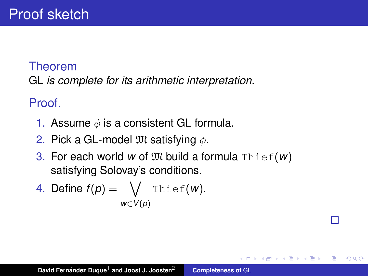### Theorem

GL *is complete for its arithmetic interpretation.*

Proof.

- 1. Assume  $\phi$  is a consistent GL formula.
- 2. Pick a GL-model  $\mathfrak{M}$  satisfying  $\phi$ .
- 3. For each world w of  $\mathfrak{M}$  build a formula Thief( $w$ ) satisfying Solovay's conditions.

 $\left\{ \bigoplus \bullet \to \bullet \right\}$ 

É

4. Define 
$$
f(p) = \bigvee_{w \in V(p)} \text{The}(w)
$$
.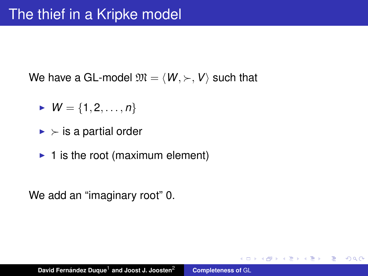We have a GL-model  $\mathfrak{M} = \langle W, \rangle$ , *V* such that

- $W = \{1, 2, ..., n\}$
- $\blacktriangleright$  is a partial order
- $\blacktriangleright$  1 is the root (maximum element)

We add an "imaginary root" 0.

す 御 ト す 重 ト す 重 ト

重  $2990$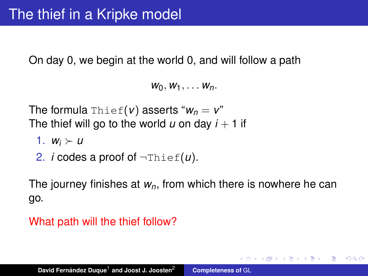On day 0, we begin at the world 0, and will follow a path

 $W_0, W_1, \ldots, W_n$ .

The formula  $\text{Thief}(v)$  asserts " $w_n = v$ " The thief will go to the world  $u$  on day  $i + 1$  if

- 1.  $W_i \succ u$
- 2. *i* codes a proof of ¬Thief(*u*).

The journey finishes at *wn*, from which there is nowhere he can go.

(ロトス個) (運) (運)

重  $2Q$ 

#### What path will the thief follow?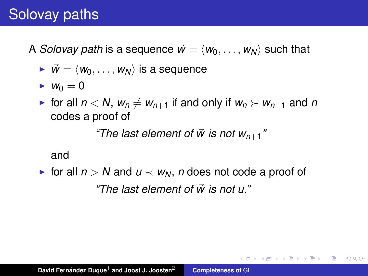# Solovay paths

A *Solovay path* is a sequence  $\vec{w} = \langle w_0, \ldots, w_N \rangle$  such that

- $\vec{w} = \langle w_0, \ldots, w_N \rangle$  is a sequence
- $\blacktriangleright$  *W*<sub>0</sub> = 0
- $\triangleright$  for all  $n < N$ ,  $w_n \neq w_{n+1}$  if and only if  $w_n \succ w_{n+1}$  and *n* codes a proof of

*"The last element of*  $\vec{w}$  *is not w<sub>n+1</sub>"* 

イロメ イ部メ イヨメ イヨメー

÷.  $2Q$ 

#### and

► for all  $n > N$  and  $u \prec w_N$ , *n* does not code a proof of *"The last element of w is not u."* ~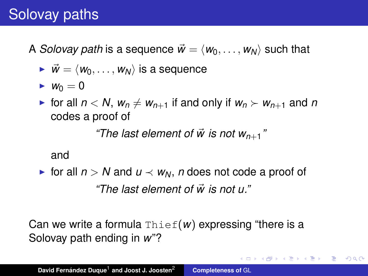# Solovay paths

A *Solovay path* is a sequence  $\vec{w} = \langle w_0, \ldots, w_N \rangle$  such that

- $\vec{w} = \langle w_0, \ldots, w_N \rangle$  is a sequence
- $\blacktriangleright$  *W*<sub>0</sub> = 0
- $\triangleright$  for all  $n < N$ ,  $w_n \neq w_{n+1}$  if and only if  $w_n \succ w_{n+1}$  and *n* codes a proof of

*"The last element of*  $\vec{w}$  *is not w<sub>n+1</sub>"* 

#### and

► for all  $n > N$  and  $u \prec w_N$ , *n* does not code a proof of *"The last element of w is not u."* ~

Can we write a formula Thief(*w*) expressing "there is a Solovay path ending in *w*"?

K ロ ⊁ K 伊 ⊁ K 君 ⊁ K 君 ⊁ …

 $\equiv$  990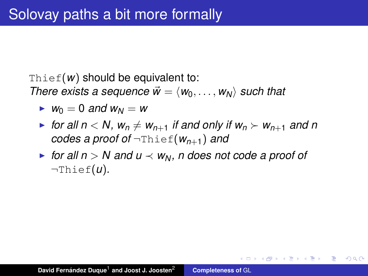Thief( $w$ ) should be equivalent to:

*There exists a sequence*  $\vec{w} = \langle w_0, \ldots, w_N \rangle$  *such that* 

- $\blacktriangleright$  *W*<sub>0</sub> = 0 *and W*<sub>N</sub> = *W*
- $\triangleright$  for all  $n < N$ ,  $w_n \neq w_{n+1}$  if and only if  $w_n \succ w_{n+1}$  and n *codes a proof of* ¬Thief(*wn*+1) *and*
- $\triangleright$  *for all n* > *N* and *u*  $\prec$  *w*<sub>*N</sub>*, *n* does not code a proof of</sub> ¬Thief(*u*)*.*

イロメ イ団メ イヨメ イヨメー

B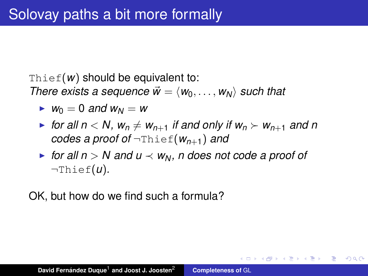Thief( $w$ ) should be equivalent to:

*There exists a sequence*  $\vec{w} = \langle w_0, \ldots, w_N \rangle$  *such that* 

- $\blacktriangleright$  *W*<sub>0</sub> = 0 *and W*<sub>N</sub> = *W*
- $\triangleright$  for all  $n < N$ ,  $w_n \neq w_{n+1}$  if and only if  $w_n \succ w_{n+1}$  and n *codes a proof of* ¬Thief(*wn*+1) *and*
- $\triangleright$  for all  $n > N$  and  $u \prec w_N$ , n does not code a proof of ¬Thief(*u*)*.*

イロメ イ部メ イヨメ イヨメー

B

 $2Q$ 

OK, but how do we find such a formula?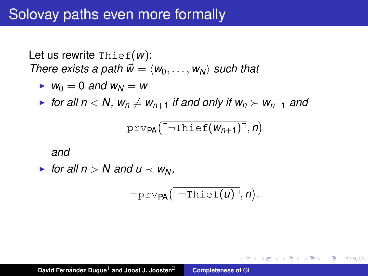Let us rewrite Thief(*w*): *There exists a path*  $\vec{w} = \langle w_0, \ldots, w_N \rangle$  *such that* 

$$
\blacktriangleright w_0 = 0 \text{ and } w_N = w
$$

 $\blacktriangleright$  for all  $n < N$ ,  $w_n \neq w_{n+1}$  *if and only if*  $w_n \succ w_{n+1}$  and

$$
\texttt{prv}_{\text{PA}}(\overline{{}^{\ulcorner\text{-} {\tt Thief}}(w_{n+1})\urcorner},n)
$$

*and*

• for all 
$$
n > N
$$
 and  $u \prec w_N$ ,

$$
\neg \text{prv}_{\text{PA}}(\overline{\ulcorner \neg \text{Thief}(u) \urcorner}, n).
$$

す 御 ト す 重 ト す 重 ト

 $299$ 

重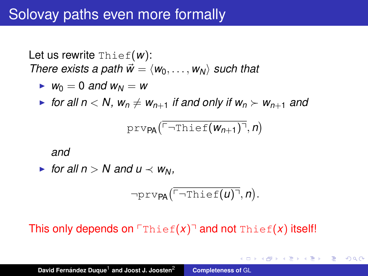Let us rewrite Thief(*w*): *There exists a path*  $\vec{w} = \langle w_0, \ldots, w_N \rangle$  *such that* 

$$
\blacktriangleright w_0 = 0 \text{ and } w_N = w
$$

• for all  $n < N$ ,  $w_n \neq w_{n+1}$  *if and only if*  $w_n > w_{n+1}$  *and* 

$$
\texttt{prv}_{\text{PA}}(\overline{{}^{\ulcorner\text{-} {\tt Thief}}(w_{n+1})\urcorner},n)
$$

*and*

• for all 
$$
n > N
$$
 and  $u \prec w_N$ ,

$$
\neg \text{prv}_{\text{PA}}(\overline{\ulcorner \neg \text{Thief}(u) \urcorner}, n).
$$

(御) (言) (言)

重

 $2Q$ 

This only depends on  $\lceil \text{Thief}(x) \rceil$  and not  $\text{Thief}(x)$  itself!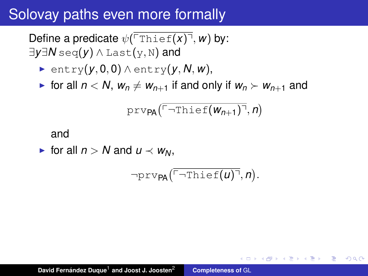Define a predicate  $\psi(\overline{\text{Theta}(x)}, w)$  by: ∃*y*∃*N* seq(*y*) ∧ Last(y, N) and

- <sup>I</sup> entry(*y*, 0, 0) ∧ entry(*y*, *N*, *w*),
- **F** for all  $n < N$ ,  $w_n \neq w_{n+1}$  if and only if  $w_n > w_{n+1}$  and

$$
\text{prv}_{\text{PA}}(\overline{\ulcorner\lnot\text{Thief}(w_{n+1})\urcorner},n)
$$

#### and

► for all  $n > N$  and  $u \prec w_N$ .

$$
\neg \texttt{prv}_{\textsf{PA}}(\overline{\ulcorner \neg \texttt{Thief}(u) \urcorner}, n).
$$

イロメ イ部メ イヨメ イヨメー

Þ  $2Q$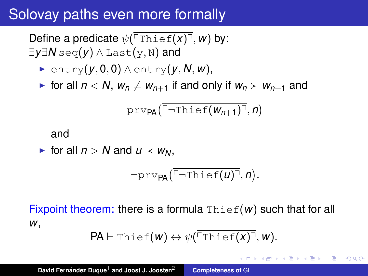Define a predicate  $\psi(\overline{T_{\text{Thief}}(x)}, w)$  by: ∃*y*∃*N* seq(*y*) ∧ Last(y, N) and

- <sup>I</sup> entry(*y*, 0, 0) ∧ entry(*y*, *N*, *w*),
- **F** for all  $n < N$ ,  $w_n \neq w_{n+1}$  if and only if  $w_n > w_{n+1}$  and

$$
\text{prv}_{\text{PA}}(\overline{\ulcorner\neg\texttt{Thief}(w_{n+1})\urcorner},n)
$$

#### and

• for all 
$$
n > N
$$
 and  $u \prec w_N$ ,

$$
\neg \texttt{prv}_{\textsf{PA}}(\overline{\ulcorner \neg \texttt{Thief}(u) \urcorner}, n).
$$

Fixpoint theorem: there is a formula  $\text{Thief}(w)$  such that for all *w*,

$$
\mathsf{PA}\vdash\mathtt{Thief}(w)\leftrightarrow\psi(\overline{\ulcorner\mathtt{Thief}(x)\urcorner},w).
$$

イロメ イ部メ イヨメ イヨメー

重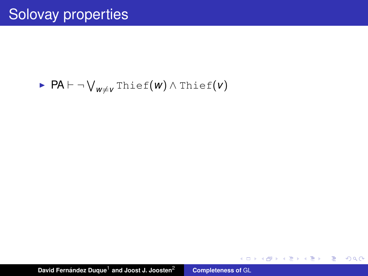## <sup>I</sup> PA ` ¬ W *<sup>w</sup>*6=*<sup>v</sup>* Thief(*w*) ∧ Thief(*v*)

**David Fernández Duque<sup>1</sup> and Joost J. Joosten<sup>2</sup> [Completeness of](#page-0-0) GL** 

K ロ ▶ K 御 ▶ K 君 ▶ K 君 ▶ ○ 君○ ◆ 9 Q ⊙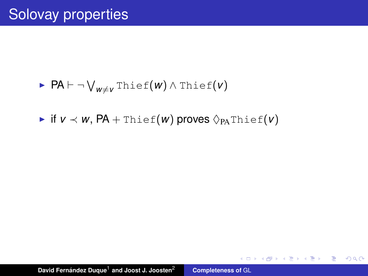## <sup>I</sup> PA ` ¬ W *<sup>w</sup>*6=*<sup>v</sup>* Thief(*w*) ∧ Thief(*v*)

 $\triangleright$  if  $v \prec w$ ,  $PA$  + Thief(*w*) proves  $\Diamond_{PA}$ Thief(*v*)

**David Fernández Duque<sup>1</sup> and Joost J. Joosten<sup>2</sup> [Completeness of](#page-0-0) GL** 

K ロ ▶ K 御 ▶ K 重 ▶ K 重 ▶ 三重 → 約 Q @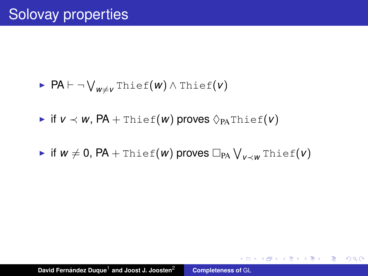$$
\blacktriangleright \ \mathsf{PA} \vdash \neg \bigvee_{w \neq v} \mathsf{Thief}(w) \land \mathsf{Thief}(v)
$$

 $\triangleright$  if  $v \prec w$ ,  $PA$  + Thief(*w*) proves  $\Diamond_{PA}$ Thief(*v*)

 $\blacktriangleright$  if  $w \neq 0$ ,  $\mathsf{PA} + \mathtt{Thief}(w)$  proves  $\Box_{\mathsf{PA}} \bigvee_{v \prec w} \mathtt{Thief}(v)$ 

K ロ ▶ K 御 ▶ K 重 ▶ K 重 ▶ 三重 → 約 Q @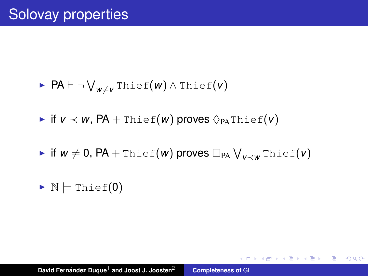$$
\blacktriangleright \ \mathsf{PA} \vdash \neg \bigvee_{w \neq v} \mathsf{Thief}(w) \land \mathsf{Thief}(v)
$$

 $\triangleright$  if  $v \prec w$ ,  $PA$  + Thief(*w*) proves  $\Diamond_{PA}$ Thief(*v*)

 $\blacktriangleright$  if  $w \neq 0$ ,  $\mathsf{PA} + \mathtt{Thief}(w)$  proves  $\Box_{\mathsf{PA}} \bigvee_{v \prec w} \mathtt{Thief}(v)$ 

K ロ ▶ K 御 ▶ K 重 ▶ K 重 ▶ 三重 → 約 Q @

 $\triangleright$  N  $\models$  Thief(0)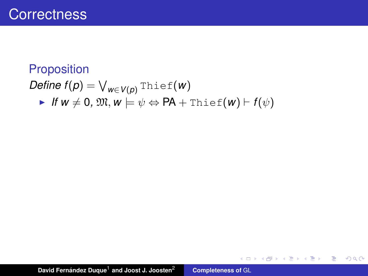## **Proposition**  $\mathcal{D}$ *efine f*(*p*) =  $\bigvee_{w \in V(p)} \text{Thief}(w)$  $\blacktriangleright$  *If*  $w \neq 0$ ,  $\mathfrak{M}, w \models \psi \Leftrightarrow \mathsf{PA} + \mathsf{Thief}(w) \vdash f(\psi)$

**David Fernández Duque<sup>1</sup> and Joost J. Joosten<sup>2</sup> [Completeness of](#page-0-0) GL** 

K ロ ⊁ K 伊 ⊁ K 君 ⊁ K 君 ⊁ …

■ 1  $299$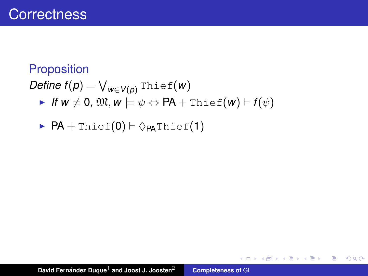### **Proposition**

 $\mathcal{D}$ *efine f*(*p*) =  $\bigvee_{w \in V(p)} \text{Thief}(w)$  $\blacktriangleright$  *If*  $w \neq 0$ ,  $\mathfrak{M}, w \models \psi \Leftrightarrow \mathsf{PA} + \mathsf{Thief}(w) \vdash f(\psi)$ 

$$
\quad \blacktriangleright \ \mathsf{PA} + \mathtt{Thief}(0) \vdash \Diamond_{\mathsf{PA}}\mathtt{Thief}(1)
$$

K ロ ⊁ K 伊 ⊁ K 君 ⊁ K 君 ⊁ …

■ 1  $299$